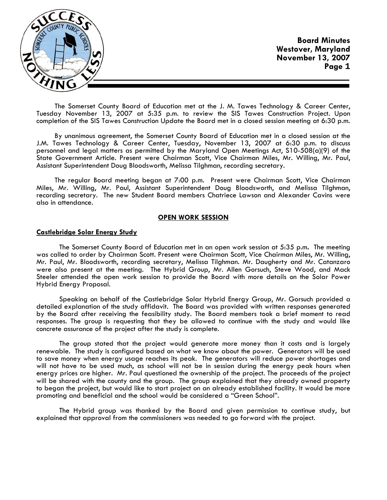

The Somerset County Board of Education met at the J. M. Tawes Technology & Career Center, Tuesday November 13, 2007 at 5:35 p.m. to review the SIS Tawes Construction Project. Upon completion of the SIS Tawes Construction Update the Board met in a closed session meeting at 6:30 p.m.

By unanimous agreement, the Somerset County Board of Education met in a closed session at the J.M. Tawes Technology & Career Center, Tuesday, November 13, 2007 at 6:30 p.m. to discuss personnel and legal matters as permitted by the Maryland Open Meetings Act, S10-508(a)(9) of the State Government Article. Present were Chairman Scott, Vice Chairman Miles, Mr. Willing, Mr. Paul, Assistant Superintendent Doug Bloodsworth, Melissa Tilghman, recording secretary.

The regular Board meeting began at 7:00 p.m. Present were Chairman Scott, Vice Chairman Miles, Mr. Willing, Mr. Paul, Assistant Superintendent Doug Bloodsworth, and Melissa Tilghman, recording secretary. The new Student Board members Chatriece Lawson and Alexander Cavins were also in attendance.

#### **OPEN WORK SESSION**

### **Castlebridge Solar Energy Study**

 The Somerset County Board of Education met in an open work session at 5:35 p.m**.** The meeting was called to order by Chairman Scott. Present were Chairman Scott, Vice Chairman Miles, Mr. Willing, Mr. Paul, Mr. Bloodsworth, recording secretary, Melissa Tilghman. Mr. Daugherty and Mr. Catanzaro were also present at the meeting. The Hybrid Group, Mr. Allen Gorsuch, Steve Wood, and Mack Steeler attended the open work session to provide the Board with more details on the Solar Power Hybrid Energy Proposal.

 Speaking on behalf of the Castlebridge Solar Hybrid Energy Group, Mr. Gorsuch provided a detailed explanation of the study affidavit. The Board was provided with written responses generated by the Board after receiving the feasibility study. The Board members took a brief moment to read responses. The group is requesting that they be allowed to continue with the study and would like concrete assurance of the project after the study is complete.

 The group stated that the project would generate more money than it costs and is largely renewable. The study is configured based on what we know about the power. Generators will be used to save money when energy usage reaches its peak. The generators will reduce power shortages and will not have to be used much, as school will not be in session during the energy peak hours when energy prices are higher. Mr. Paul questioned the ownership of the project. The proceeds of the project will be shared with the county and the group. The group explained that they already owned property to began the project, but would like to start project on an already established facility. It would be more promoting and beneficial and the school would be considered a "Green School".

 The Hybrid group was thanked by the Board and given permission to continue study, but explained that approval from the commissioners was needed to go forward with the project.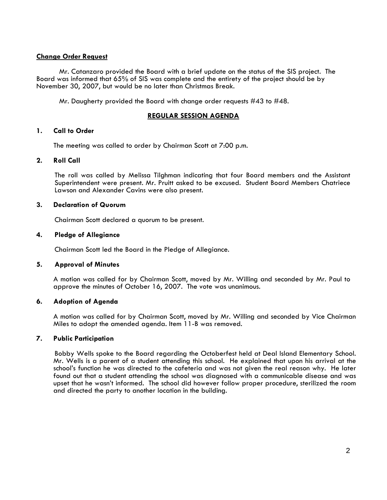# **Change Order Request**

 Mr. Catanzaro provided the Board with a brief update on the status of the SIS project. The Board was informed that 65% of SIS was complete and the entirety of the project should be by November 30, 2007, but would be no later than Christmas Break.

Mr. Daugherty provided the Board with change order requests #43 to #48.

# **REGULAR SESSION AGENDA**

# **1. Call to Order**

The meeting was called to order by Chairman Scott at 7:00 p.m.

# **2. Roll Call**

The roll was called by Melissa Tilghman indicating that four Board members and the Assistant Superintendent were present. Mr. Pruitt asked to be excused. Student Board Members Chatriece Lawson and Alexander Cavins were also present.

### **3. Declaration of Quorum**

Chairman Scott declared a quorum to be present.

### **4. Pledge of Allegiance**

Chairman Scott led the Board in the Pledge of Allegiance.

# **5. Approval of Minutes**

 A motion was called for by Chairman Scott, moved by Mr. Willing and seconded by Mr. Paul to approve the minutes of October 16, 2007. The vote was unanimous.

# **6. Adoption of Agenda**

 A motion was called for by Chairman Scott, moved by Mr. Willing and seconded by Vice Chairman Miles to adopt the amended agenda. Item 11-B was removed.

# **7. Public Participation**

 Bobby Wells spoke to the Board regarding the Octoberfest held at Deal Island Elementary School. Mr. Wells is a parent of a student attending this school. He explained that upon his arrival at the school's function he was directed to the cafeteria and was not given the real reason why. He later found out that a student attending the school was diagnosed with a communicable disease and was upset that he wasn't informed. The school did however follow proper procedure, sterilized the room and directed the party to another location in the building.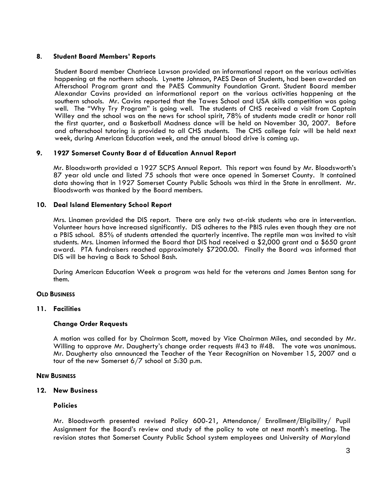# **8**. **Student Board Members' Reports**

 Student Board member Chatriece Lawson provided an informational report on the various activities happening at the northern schools. Lynette Johnson, PAES Dean of Students, had been awarded an Afterschool Program grant and the PAES Community Foundation Grant. Student Board member Alexandar Cavins provided an informational report on the various activities happening at the southern schools. Mr. Cavins reported that the Tawes School and USA skills competition was going well. The "Why Try Program" is going well. The students of CHS received a visit from Captain Willey and the school was on the news for school spirit, 78% of students made credit or honor roll the first quarter, and a Basketball Madness dance will be held on November 30, 2007. Before and afterschool tutoring is provided to all CHS students. The CHS college fair will be held next week, during American Education week, and the annual blood drive is coming up.

# **9. 1927 Somerset County Boar d of Education Annual Report**

Mr. Bloodsworth provided a 1927 SCPS Annual Report. This report was found by Mr. Bloodsworth's 87 year old uncle and listed 75 schools that were once opened in Somerset County. It contained data showing that in 1927 Somerset County Public Schools was third in the State in enrollment. Mr. Bloodsworth was thanked by the Board members.

### **10. Deal Island Elementary School Report**

Mrs. Linamen provided the DIS report. There are only two at-risk students who are in intervention. Volunteer hours have increased significantly. DIS adheres to the PBIS rules even though they are not a PBIS school. 85% of students attended the quarterly incentive. The reptile man was invited to visit students. Mrs. Linamen informed the Board that DIS had received a \$2,000 grant and a \$650 grant award. PTA fundraisers reached approximately \$7200.00. Finally the Board was informed that DIS will be having a Back to School Bash.

During American Education Week a program was held for the veterans and James Benton sang for them.

#### **OLD BUSINESS**

# **11. Facilities Change Order Requests**

A motion was called for by Chairman Scott, moved by Vice Chairman Miles, and seconded by Mr. Willing to approve Mr. Daugherty's change order requests #43 to #48. The vote was unanimous. Mr. Daugherty also announced the Teacher of the Year Recognition on November 15, 2007 and a tour of the new Somerset 6/7 school at 5:30 p.m.

#### **NEW BUSINESS**

#### **12. New Business**

#### **Policies**

Mr. Bloodsworth presented revised Policy 600-21, Attendance/ Enrollment/Eligibility/ Pupil Assignment for the Board's review and study of the policy to vote at next month's meeting. The revision states that Somerset County Public School system employees and University of Maryland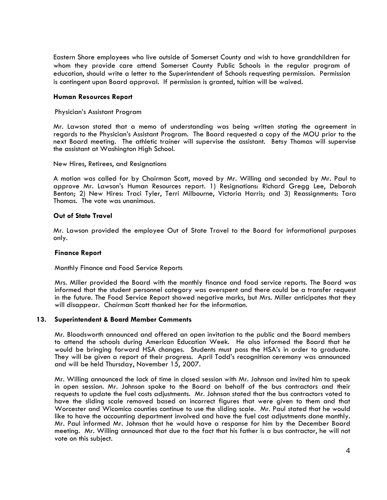Eastern Shore employees who live outside of Somerset County and wish to have grandchildren for whom they provide care attend Somerset County Public Schools in the regular program of education, should write a letter to the Superintendent of Schools requesting permission. Permission is contingent upon Board approval. If permission is granted, tuition will be waived.

### **Human Resources Report**

#### Physician's Assistant Program

Mr. Lawson stated that a memo of understanding was being written stating the agreement in regards to the Physician's Assistant Program. The Board requested a copy of the MOU prior to the next Board meeting. The athletic trainer will supervise the assistant. Betsy Thomas will supervise the assistant at Washington High School.

#### New Hires, Retirees, and Resignations

A motion was called for by Chairman Scott, moved by Mr. Willing and seconded by Mr. Paul to approve Mr. Lawson's Human Resources report. 1) Resignations: Richard Gregg Lee, Deborah Benton; 2) New Hires: Traci Tyler, Terri Milbourne, Victoria Harris; and 3) Reassignments: Tara Thomas. The vote was unanimous.

# **Out of State Travel**

Mr. Lawson provided the employee Out of State Travel to the Board for informational purposes only.

#### **Finance Report**

Monthly Finance and Food Service Reports

Mrs. Miller provided the Board with the monthly finance and food service reports. The Board was informed that the student personnel category was overspent and there could be a transfer request in the future. The Food Service Report showed negative marks, but Mrs. Miller anticipates that they will disappear. Chairman Scott thanked her for the information.

#### **13. Superintendent & Board Member Comments**

Mr. Bloodsworth announced and offered an open invitation to the public and the Board members to attend the schools during American Education Week. He also informed the Board that he would be bringing forward HSA changes. Students must pass the HSA's in order to graduate. They will be given a report of their progress. April Todd's recognition ceremony was announced and will be held Thursday, November 15, 2007.

Mr. Willing announced the lack of time in closed session with Mr. Johnson and invited him to speak in open session. Mr. Johnson spoke to the Board on behalf of the bus contractors and their requests to update the fuel costs adjustments. Mr. Johnson stated that the bus contractors voted to have the sliding scale removed based on incorrect figures that were given to them and that Worcester and Wicomico counties continue to use the sliding scale. Mr. Paul stated that he would like to have the accounting department involved and have the fuel cost adjustments done monthly. Mr. Paul informed Mr. Johnson that he would have a response for him by the December Board meeting. Mr. Willing announced that due to the fact that his father is a bus contractor, he will not vote on this subject.